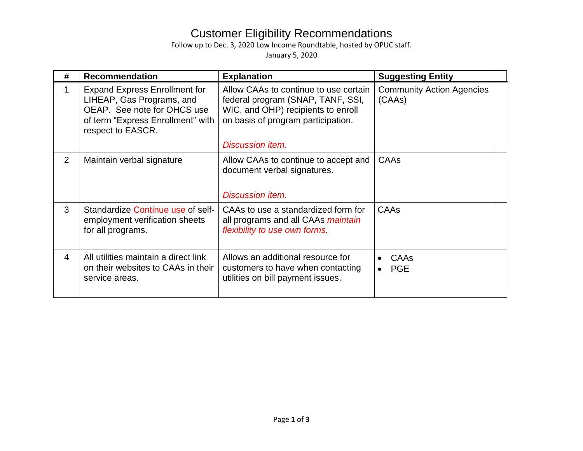## Customer Eligibility Recommendations

Follow up to Dec. 3, 2020 Low Income Roundtable, hosted by OPUC staff.

January 5, 2020

| # | <b>Recommendation</b>                                                                                                                                      | <b>Explanation</b>                                                                                                                                                                | <b>Suggesting Entity</b>                     |
|---|------------------------------------------------------------------------------------------------------------------------------------------------------------|-----------------------------------------------------------------------------------------------------------------------------------------------------------------------------------|----------------------------------------------|
|   | <b>Expand Express Enrollment for</b><br>LIHEAP, Gas Programs, and<br>OEAP. See note for OHCS use<br>of term "Express Enrollment" with<br>respect to EASCR. | Allow CAAs to continue to use certain<br>federal program (SNAP, TANF, SSI,<br>WIC, and OHP) recipients to enroll<br>on basis of program participation.<br><b>Discussion item.</b> | <b>Community Action Agencies</b><br>(CAAs)   |
|   |                                                                                                                                                            |                                                                                                                                                                                   |                                              |
| 2 | Maintain verbal signature                                                                                                                                  | Allow CAAs to continue to accept and<br>document verbal signatures.<br><b>Discussion item.</b>                                                                                    | CAAs                                         |
| 3 | Standardize Continue use of self-<br>employment verification sheets<br>for all programs.                                                                   | CAAs to use a standardized form for<br>all programs and all CAAs maintain<br>flexibility to use own forms.                                                                        | CAAs                                         |
| 4 | All utilities maintain a direct link<br>on their websites to CAAs in their<br>service areas.                                                               | Allows an additional resource for<br>customers to have when contacting<br>utilities on bill payment issues.                                                                       | CAAs<br>$\bullet$<br><b>PGE</b><br>$\bullet$ |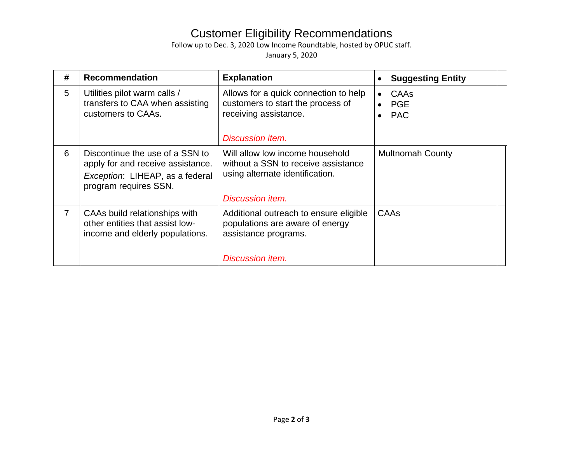## Customer Eligibility Recommendations

Follow up to Dec. 3, 2020 Low Income Roundtable, hosted by OPUC staff.

January 5, 2020

| # | <b>Recommendation</b>                                                                                                            | <b>Explanation</b>                                                                                                                   | <b>Suggesting Entity</b>         |
|---|----------------------------------------------------------------------------------------------------------------------------------|--------------------------------------------------------------------------------------------------------------------------------------|----------------------------------|
| 5 | Utilities pilot warm calls /<br>transfers to CAA when assisting<br>customers to CAAs.                                            | Allows for a quick connection to help<br>customers to start the process of<br>receiving assistance.<br>Discussion item.              | CAAs<br><b>PGE</b><br><b>PAC</b> |
| 6 | Discontinue the use of a SSN to<br>apply for and receive assistance.<br>Exception: LIHEAP, as a federal<br>program requires SSN. | Will allow low income household<br>without a SSN to receive assistance<br>using alternate identification.<br><b>Discussion item.</b> | <b>Multnomah County</b>          |
| 7 | CAAs build relationships with<br>other entities that assist low-<br>income and elderly populations.                              | Additional outreach to ensure eligible<br>populations are aware of energy<br>assistance programs.<br><b>Discussion item.</b>         | CAAs                             |